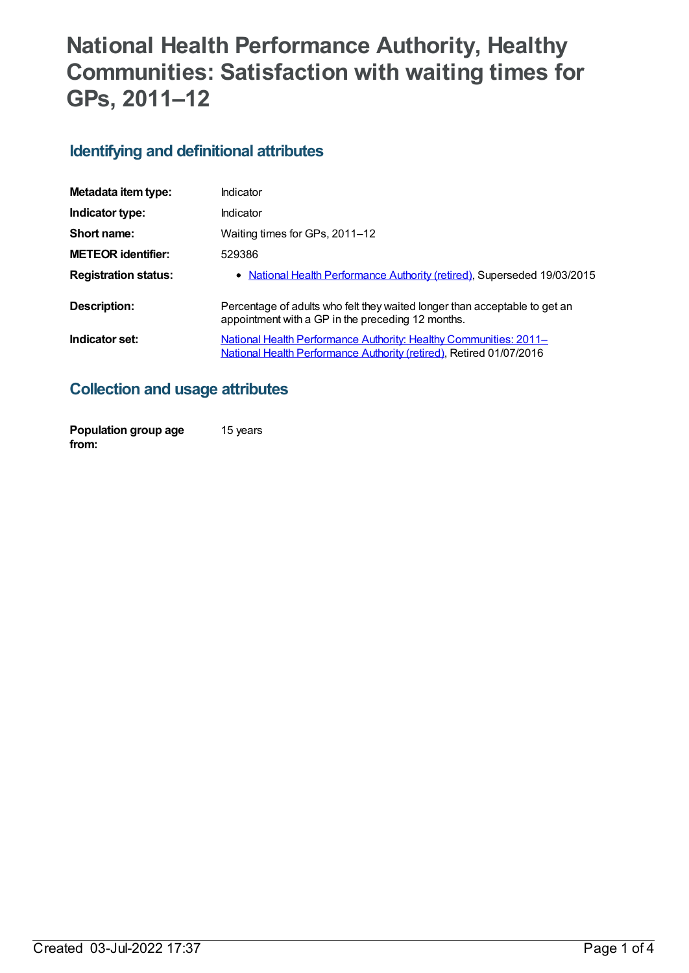# **National Health Performance Authority, Healthy Communities: Satisfaction with waiting times for GPs, 2011–12**

## **Identifying and definitional attributes**

| Metadata item type:         | Indicator                                                                                                                                |
|-----------------------------|------------------------------------------------------------------------------------------------------------------------------------------|
| Indicator type:             | Indicator                                                                                                                                |
| Short name:                 | Waiting times for GPs, 2011-12                                                                                                           |
| <b>METEOR identifier:</b>   | 529386                                                                                                                                   |
| <b>Registration status:</b> | • National Health Performance Authority (retired), Superseded 19/03/2015                                                                 |
| <b>Description:</b>         | Percentage of adults who felt they waited longer than acceptable to get an<br>appointment with a GP in the preceding 12 months.          |
| Indicator set:              | National Health Performance Authority: Healthy Communities: 2011-<br>National Health Performance Authority (retired), Retired 01/07/2016 |

## **Collection and usage attributes**

| Population group age | 15 years |
|----------------------|----------|
| from:                |          |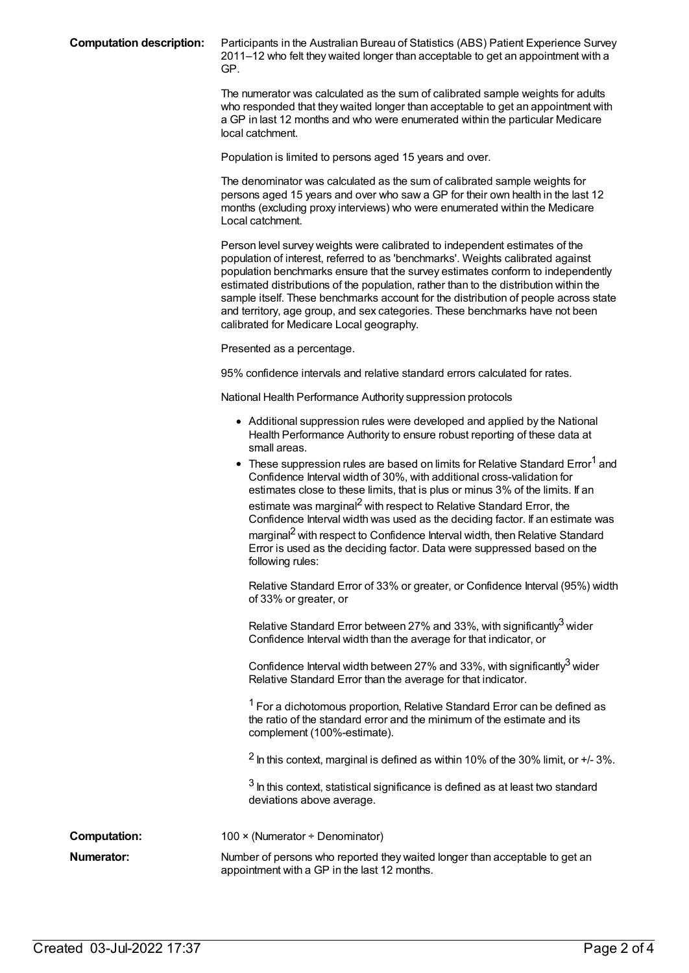**Computation description:** Participants in the Australian Bureau of Statistics (ABS) Patient Experience Survey 2011–12 who felt they waited longer than acceptable to get an appointment with a GP.

> The numerator was calculated as the sum of calibrated sample weights for adults who responded that they waited longer than acceptable to get an appointment with a GP in last 12 months and who were enumerated within the particular Medicare local catchment.

Population is limited to persons aged 15 years and over.

The denominator was calculated as the sum of calibrated sample weights for persons aged 15 years and over who saw a GP for their own health in the last 12 months (excluding proxy interviews) who were enumerated within the Medicare Local catchment.

Person level survey weights were calibrated to independent estimates of the population of interest, referred to as 'benchmarks'. Weights calibrated against population benchmarks ensure that the survey estimates conform to independently estimated distributions of the population, rather than to the distribution within the sample itself. These benchmarks account for the distribution of people across state and territory, age group, and sex categories. These benchmarks have not been calibrated for Medicare Local geography.

Presented as a percentage.

95% confidence intervals and relative standard errors calculated for rates.

National Health Performance Authority suppression protocols

- Additional suppression rules were developed and applied by the National Health Performance Authority to ensure robust reporting of these data at small areas.
- $\bullet~$  These suppression rules are based on limits for Relative Standard Error<sup>1</sup> and Confidence Interval width of 30%, with additional cross-validation for estimates close to these limits, that is plus or minus 3% of the limits. If an estimate was marginal<sup>2</sup> with respect to Relative Standard Error, the Confidence Interval width was used as the deciding factor. If an estimate was marginal<sup>2</sup> with respect to Confidence Interval width, then Relative Standard Error is used as the deciding factor. Data were suppressed based on the following rules:

Relative Standard Error of 33% or greater, or Confidence Interval (95%) width of 33% or greater, or

Relative Standard Error between 27% and 33%, with significantly<sup>3</sup> wider Confidence Interval width than the average for that indicator, or

Confidence Interval width between 27% and 33%, with significantly<sup>3</sup> wider Relative Standard Error than the average for that indicator.

<sup>1</sup> For a dichotomous proportion, Relative Standard Error can be defined as the ratio of the standard error and the minimum of the estimate and its complement (100%-estimate).

 $2$  In this context, marginal is defined as within 10% of the 30% limit, or  $+$ /-3%.

 $3$  In this context, statistical significance is defined as at least two standard deviations above average.

**Computation:** 100 × (Numerator ÷ Denominator)

**Numerator:** Number of persons who reported they waited longer than acceptable to get an appointment with a GP in the last 12 months.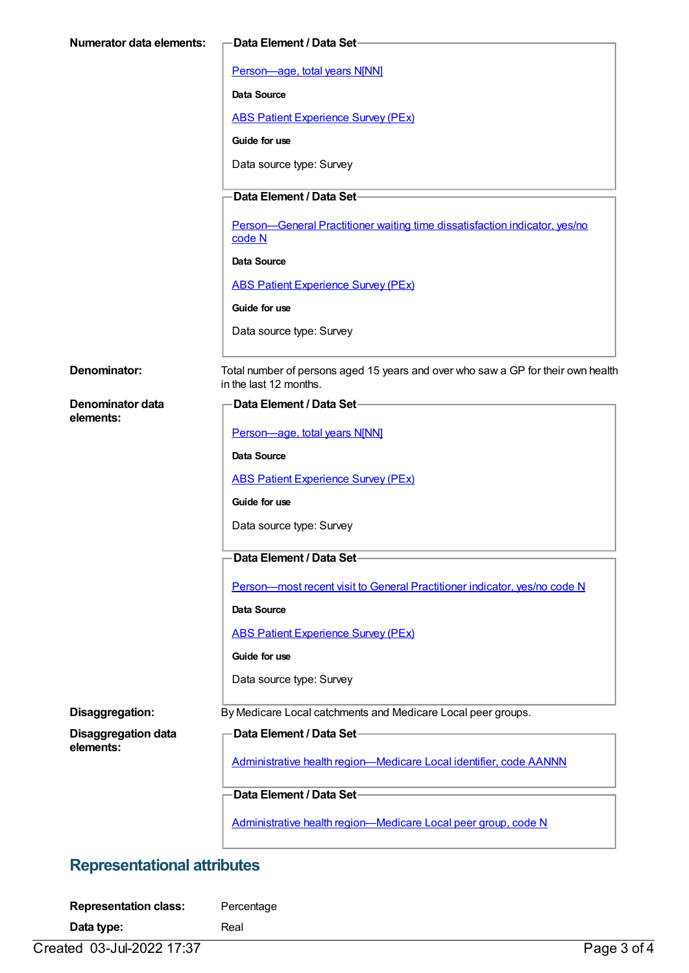| Numerator data elements:      | Data Element / Data Set-                                                         |
|-------------------------------|----------------------------------------------------------------------------------|
|                               | Person-age, total years N[NN]                                                    |
|                               | Data Source                                                                      |
|                               | <b>ABS Patient Experience Survey (PEx)</b>                                       |
|                               | Guide for use                                                                    |
|                               | Data source type: Survey                                                         |
|                               | Data Element / Data Set-                                                         |
|                               | Person-General Practitioner waiting time dissatisfaction indicator, yes/no       |
|                               | code N                                                                           |
|                               | Data Source                                                                      |
|                               | <b>ABS Patient Experience Survey (PEx)</b>                                       |
|                               | Guide for use                                                                    |
|                               | Data source type: Survey                                                         |
| Denominator:                  | Total number of persons aged 15 years and over who saw a GP for their own health |
|                               | in the last 12 months.                                                           |
| Denominator data<br>elements: | -Data Element / Data Set                                                         |
|                               | Person-age, total years N[NN]                                                    |
|                               | <b>Data Source</b>                                                               |
|                               | <b>ABS Patient Experience Survey (PEx)</b>                                       |
|                               | Guide for use                                                                    |
|                               | Data source type: Survey                                                         |
|                               | Data Element / Data Set-                                                         |
|                               | Person-most recent visit to General Practitioner indicator, yes/no code N        |
|                               | Data Source                                                                      |
|                               | <b>ABS Patient Experience Survey (PEx)</b>                                       |
|                               | Guide for use                                                                    |
|                               | Data source type: Survey                                                         |
| Disaggregation:               | By Medicare Local catchments and Medicare Local peer groups.                     |
| <b>Disaggregation data</b>    | Data Element / Data Set-                                                         |
| elements:                     | Administrative health region-Medicare Local identifier, code AANNN               |
|                               | Data Element / Data Set-                                                         |
|                               | Administrative health region-Medicare Local peer group, code N                   |

# **Representational attributes**

| <b>Representation class:</b> | Percentage |
|------------------------------|------------|
| Data type:                   | Real       |